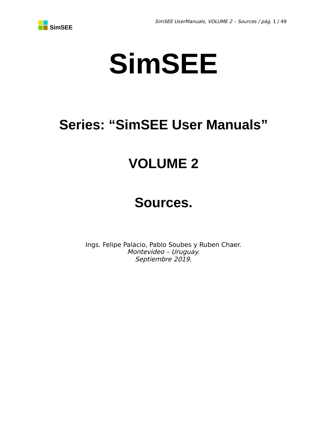

# **SimSEE**

# **Series: "SimSEE User Manuals"**

# **VOLUME 2**

## **Sources.**

Ings. Felipe Palacio, Pablo Soubes y Ruben Chaer. Montevideo – Uruguay. Septiembre 2019.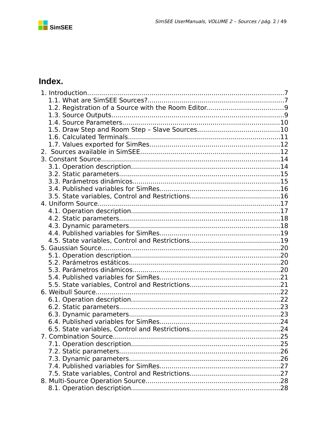

### Index.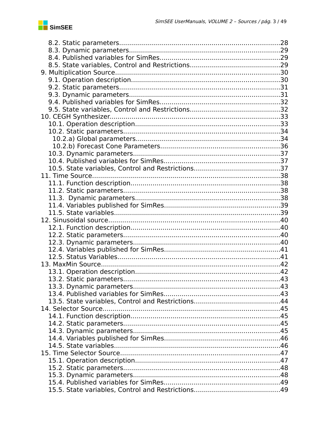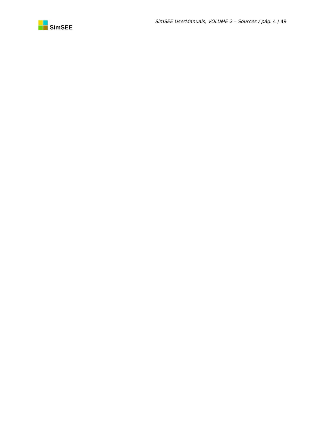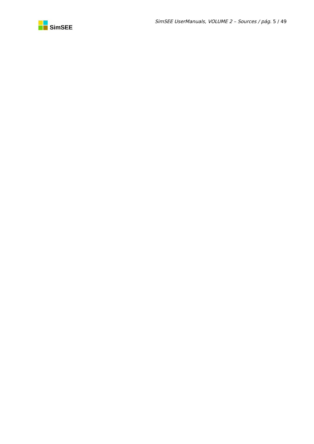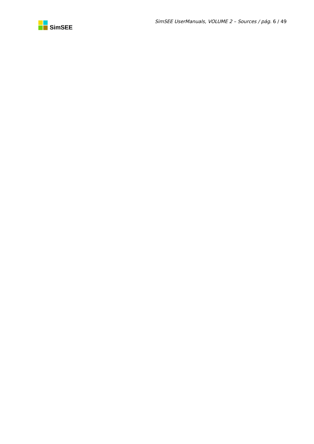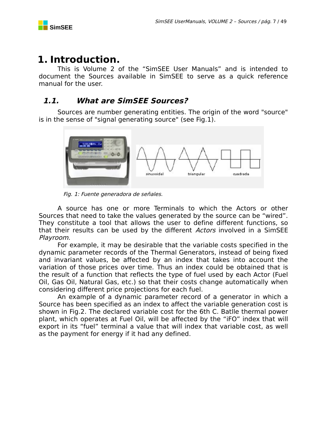

## <span id="page-6-1"></span> **1. Introduction.**

This is Volume 2 of the "SimSEE User Manuals" and is intended to document the Sources available in SimSEE to serve as a quick reference manual for the user.

#### <span id="page-6-0"></span> **1.1. What are SimSEE Sources?**

Sources are number generating entities. The origin of the word "source" is in the sense of "signal generating source" (see Fig.[1\)](#page-6-2).



<span id="page-6-2"></span>Fig. 1: Fuente generadora de señales.

A source has one or more Terminals to which the Actors or other Sources that need to take the values generated by the source can be "wired". They constitute a tool that allows the user to define different functions, so that their results can be used by the different Actors involved in a SimSEE Playroom.

For example, it may be desirable that the variable costs specified in the dynamic parameter records of the Thermal Generators, instead of being fixed and invariant values, be affected by an index that takes into account the variation of those prices over time. Thus an index could be obtained that is the result of a function that reflects the type of fuel used by each Actor (Fuel Oil, Gas Oil, Natural Gas, etc.) so that their costs change automatically when considering different price projections for each fuel.

An example of a dynamic parameter record of a generator in which a Source has been specified as an index to affect the variable generation cost is shown in Fig.[2](#page-7-0). The declared variable cost for the 6th C. Batlle thermal power plant, which operates at Fuel Oil, will be affected by the "iFO" index that will export in its "fuel" terminal a value that will index that variable cost, as well as the payment for energy if it had any defined.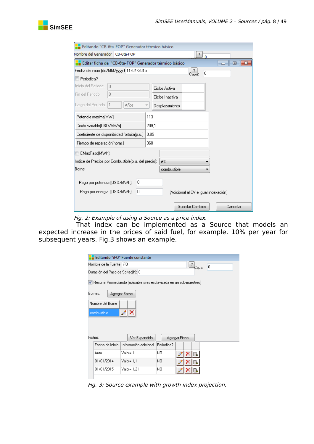

| Editando "CB-6ta-FOP" Generador térmico básico                        |                                      |
|-----------------------------------------------------------------------|--------------------------------------|
| Nombre del Generador   CB-6ta-FOP                                     | ?<br>$\Omega$                        |
| Editar ficha de "CB-6ta-FOP" Generador térmico básico                 | lж<br>回<br>$\Box$                    |
| Fecha de inicio (dd/MM/yyyy ł 11/04/2015                              | $\mathbf 0$<br>Capá:                 |
| Periodica?                                                            |                                      |
| Inicio del Periodo:<br>$\Box$                                         | Ciclos Activa                        |
| Fin del Periodo:<br>0                                                 | Ciclos Inactiva                      |
| Largo del Período:   1<br>Años                                        | Desplazamiento                       |
| Potencia maxima[MW]                                                   | 113                                  |
| Costo variable[USD/MWh]                                               | 209.1                                |
| Coeficiente de disponibildad fortuita[p.u.]                           | 0,85                                 |
| Tiempo de reparación[horas]                                           | 360                                  |
| EMaxPaso[MWh]:                                                        |                                      |
| Indice de Precios por Combustible[p.u. del precio]:                   | iFO.                                 |
| Borne:                                                                | combustible                          |
| 0<br>Pago por potencia [USD/MWh]:<br>Pago por energia [USD/MWh]:<br>0 | (Adicional al CV e igual indexación) |
|                                                                       | Guardar Cambios<br>Cancelar          |

<span id="page-7-0"></span>Fig. 2: Example of using a Source as a price index.

That index can be implemented as a Source that models an expected increase in the prices of said fuel, for example. 10% per year for subsequent years. Fig.[3](#page-7-1) shows an example.

| Editando "iFO" Fuente constante                                        |  |  |  |  |
|------------------------------------------------------------------------|--|--|--|--|
| Nombre de la Fuente iFO<br>?<br>£apa:<br>0                             |  |  |  |  |
| Duración del Paso de Sorteo[h]: 0                                      |  |  |  |  |
| ▼ Resumir Promediando (aplicable si es esclavizada en un sub-muestreo) |  |  |  |  |
| Bornes:<br>Agregar Borne                                               |  |  |  |  |
| Nombre del Borne                                                       |  |  |  |  |
| combustible                                                            |  |  |  |  |
|                                                                        |  |  |  |  |
|                                                                        |  |  |  |  |
| Fichas:<br>Ver Expandida<br>Agregar Ficha                              |  |  |  |  |
| Información adicional<br>Periodica?<br>Fecha de Inicio                 |  |  |  |  |
| $Value = 1$<br>NO<br>Auto<br>B                                         |  |  |  |  |
| 01/01/2014<br>$Value = 1.1$<br>NO                                      |  |  |  |  |
| 01/01/2015<br>Valor= 1,21<br>NΟ                                        |  |  |  |  |
|                                                                        |  |  |  |  |

<span id="page-7-1"></span>Fig. 3: Source example with growth index projection.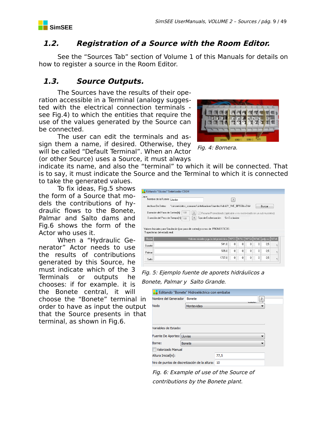

#### <span id="page-8-1"></span> **1.2. Registration of a Source with the Room Editor.**

See the "Sources Tab" section of Volume 1 of this Manuals for details on how to register a source in the Room Editor.

#### <span id="page-8-0"></span> **1.3. Source Outputs.**

The Sources have the results of their operation accessible in a Terminal (analogy suggested with the electrical connection terminals see Fig.[4\)](#page-8-4) to which the entities that require the use of the values generated by the Source can be connected.

The user can edit the terminals and assign them a name, if desired. Otherwise, they will be called "Default Terminal". When an Actor (or other Source) uses a Source, it must always

<span id="page-8-4"></span>

Fig. 4: Bornera.

indicate its name, and also the "terminal" to which it will be connected. That is to say, it must indicate the Source and the Terminal to which it is connected to take the generated values.

To fix ideas, Fig[.5](#page-8-3) shows the form of a Source that models the contributions of hydraulic flows to the Bonete, Palmar and Salto dams and Fig[.6](#page-8-2) shows the form of the Actor who uses it.

When a "Hydraulic Generator" Actor needs to use the results of contributions generated by this Source, he must indicate which of the 3 Terminals or outputs he chooses: if for example. it is the Bonete central, it will choose the "Bonete" terminal in order to have as input the output that the Source presents in that terminal, as shown in Fig.[6](#page-8-2).

| Archivo De Datos:                       | \simsee\datos_comunes\sintetizadores\fuentesHidroUY_1VE_BPS50ov3.txt<br>Buscar                                       |  |
|-----------------------------------------|----------------------------------------------------------------------------------------------------------------------|--|
|                                         |                                                                                                                      |  |
|                                         | Duración del Paso de Sorteo[h]:   168<br>?<br>/ Resumir Promediando (aplicable si es esclavizada en un sub-muestreo) |  |
|                                         | Tipo de Esclavización: Sin Esclavizar<br>Duración del Paso de Tiempo[h]: 168<br>?                                    |  |
|                                         |                                                                                                                      |  |
|                                         |                                                                                                                      |  |
|                                         | Valores Iniciales para Simulación (por paso de sorteo) y conos de PRONOSTICOS:                                       |  |
|                                         |                                                                                                                      |  |
| Borne                                   | Valores iniciales y quía del pronóstico, NPCC NPLC NPSA NPAC<br>pelp.u.1 NRet.                                       |  |
| Trayectorias del estado real.<br>Bonete | n<br>n<br>n<br>n<br>0.5<br>541.0                                                                                     |  |
| Palmar                                  | $\mathbf 0$<br>0<br>505.0<br>0<br>n<br>0.5                                                                           |  |

<span id="page-8-3"></span>Fig. 5: Ejemplo fuente de aporets hidráulicos a Bonete, Palmar y Salto Grande.

|                                                    | Editando "Bonete" Hidroeléctrica con embalse |      |               |   |
|----------------------------------------------------|----------------------------------------------|------|---------------|---|
| Nombre del Generador Bonete                        |                                              |      | <b>COUNTY</b> | ? |
| Nodo                                               | Montevideo                                   |      |               |   |
|                                                    |                                              |      |               |   |
|                                                    |                                              |      |               |   |
|                                                    |                                              |      |               |   |
|                                                    |                                              |      |               |   |
| Variables de Estado:<br>Fuente De Aportes: Lluvias |                                              |      |               |   |
|                                                    | Bonete                                       |      |               |   |
| Valorizado Manual                                  |                                              |      |               |   |
| Borne:<br>Altura Inicial[m]:                       |                                              | 77,5 |               |   |

<span id="page-8-2"></span>Fig. 6: Example of use of the Source of contributions by the Bonete plant.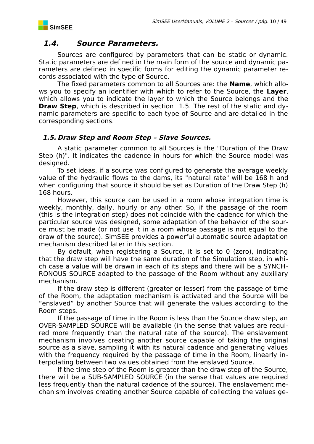

#### <span id="page-9-1"></span> **1.4. Source Parameters.**

Sources are configured by parameters that can be static or dynamic. Static parameters are defined in the main form of the source and dynamic parameters are defined in specific forms for editing the dynamic parameter records associated with the type of Source.

The fixed parameters common to all Sources are: the **Name**, which allows you to specify an identifier with which to refer to the Source, the **Layer**, which allows you to indicate the layer to which the Source belongs and the **Draw Step**, which is described in section [1.5](#page-9-0). The rest of the static and dynamic parameters are specific to each type of Source and are detailed in the corresponding sections.

#### <span id="page-9-0"></span> **1.5. Draw Step and Room Step – Slave Sources.**

A static parameter common to all Sources is the "Duration of the Draw Step (h)". It indicates the cadence in hours for which the Source model was designed.

To set ideas, if a source was configured to generate the average weekly value of the hydraulic flows to the dams, its "natural rate" will be 168 h and when configuring that source it should be set as Duration of the Draw Step (h) 168 hours.

However, this source can be used in a room whose integration time is weekly, monthly, daily, hourly or any other. So, if the passage of the room (this is the integration step) does not coincide with the cadence for which the particular source was designed, some adaptation of the behavior of the source must be made (or not use it in a room whose passage is not equal to the draw of the source). SimSEE provides a powerful automatic source adaptation mechanism described later in this section.

By default, when registering a Source, it is set to 0 (zero), indicating that the draw step will have the same duration of the Simulation step, in which case a value will be drawn in each of its steps and there will be a SYNCH-RONOUS SOURCE adapted to the passage of the Room without any auxiliary mechanism.

If the draw step is different (greater or lesser) from the passage of time of the Room, the adaptation mechanism is activated and the Source will be "enslaved" by another Source that will generate the values according to the Room steps.

If the passage of time in the Room is less than the Source draw step, an OVER-SAMPLED SOURCE will be available (in the sense that values are required more frequently than the natural rate of the source). The enslavement mechanism involves creating another source capable of taking the original source as a slave, sampling it with its natural cadence and generating values with the frequency required by the passage of time in the Room, linearly interpolating between two values obtained from the enslaved Source.

If the time step of the Room is greater than the draw step of the Source, there will be a SUB-SAMPLED SOURCE (in the sense that values are required less frequently than the natural cadence of the source). The enslavement mechanism involves creating another Source capable of collecting the values ge-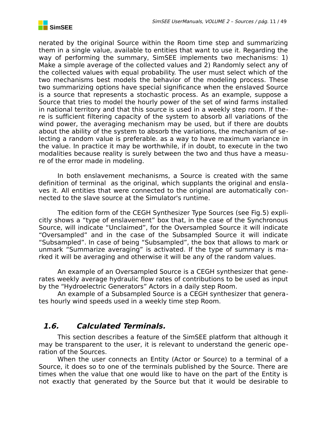

nerated by the original Source within the Room time step and summarizing them in a single value, available to entities that want to use it. Regarding the way of performing the summary, SimSEE implements two mechanisms: 1) Make a simple average of the collected values and 2) Randomly select any of the collected values with equal probability. The user must select which of the two mechanisms best models the behavior of the modeling process. These two summarizing options have special significance when the enslaved Source is a source that represents a stochastic process. As an example, suppose a Source that tries to model the hourly power of the set of wind farms installed in national territory and that this source is used in a weekly step room. If there is sufficient filtering capacity of the system to absorb all variations of the wind power, the averaging mechanism may be used, but if there are doubts about the ability of the system to absorb the variations, the mechanism of selecting a random value is preferable. as a way to have maximum variance in the value. In practice it may be worthwhile, if in doubt, to execute in the two modalities because reality is surely between the two and thus have a measure of the error made in modeling.

In both enslavement mechanisms, a Source is created with the same definition of terminal as the original, which supplants the original and enslaves it. All entities that were connected to the original are automatically connected to the slave source at the Simulator's runtime.

The edition form of the CEGH Synthesizer Type Sources (see Fig.[5](#page-8-3)) explicitly shows a "type of enslavement" box that, in the case of the Synchronous Source, will indicate "Unclaimed", for the Oversampled Source it will indicate "Oversampled" and in the case of the Subsampled Source it will indicate "Subsampled". In case of being "Subsampled", the box that allows to mark or unmark "Summarize averaging" is activated. If the type of summary is marked it will be averaging and otherwise it will be any of the random values.

An example of an Oversampled Source is a CEGH synthesizer that generates weekly average hydraulic flow rates of contributions to be used as input by the "Hydroelectric Generators" Actors in a daily step Room.

An example of a Subsampled Source is a CEGH synthesizer that generates hourly wind speeds used in a weekly time step Room.

#### <span id="page-10-0"></span> **1.6. Calculated Terminals.**

This section describes a feature of the SimSEE platform that although it may be transparent to the user, it is relevant to understand the generic operation of the Sources.

When the user connects an Entity (Actor or Source) to a terminal of a Source, it does so to one of the terminals published by the Source. There are times when the value that one would like to have on the part of the Entity is not exactly that generated by the Source but that it would be desirable to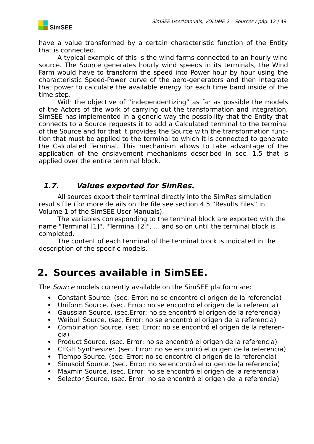

have a value transformed by a certain characteristic function of the Entity that is connected.

A typical example of this is the wind farms connected to an hourly wind source. The Source generates hourly wind speeds in its terminals, the Wind Farm would have to transform the speed into Power hour by hour using the characteristic Speed-Power curve of the aero-generators and then integrate that power to calculate the available energy for each time band inside of the time step.

With the objective of "independentizing" as far as possible the models of the Actors of the work of carrying out the transformation and integration, SimSEE has implemented in a generic way the possibility that the Entity that connects to a Source requests it to add a Calculated terminal to the terminal of the Source and for that it provides the Source with the transformation function that must be applied to the terminal to which it is connected to generate the Calculated Terminal. This mechanism allows to take advantage of the application of the enslavement mechanisms described in sec. [1.5](#page-9-0) that is applied over the entire terminal block.

#### <span id="page-11-1"></span> **1.7. Values exported for SimRes.**

All sources export their terminal directly into the SimRes simulation results file (for more details on the file see section 4.5 "Results Files" in Volume 1 of the SimSEE User Manuals).

The variables corresponding to the terminal block are exported with the name "Terminal [1]", "Terminal [2]", ... and so on until the terminal block is completed.

The content of each terminal of the terminal block is indicated in the description of the specific models.

## <span id="page-11-0"></span> **2. Sources available in SimSEE.**

The *Source* models currently available on the SimSEE platform are:

- <span id="page-11-12"></span>Constant Source. (sec. [Error: no se encontró el origen de la referencia](#page-11-12))
- Uniform Source. (sec. [Error: no se encontró el origen de la referencia](#page-11-11))
- Gaussian Source. (sec.[Error: no se encontró el origen de la referencia\)](#page-11-10)
- <span id="page-11-11"></span><span id="page-11-10"></span><span id="page-11-9"></span>Weibull Source. (sec. [Error: no se encontró el origen de la referencia](#page-11-9))
- Combination Source. (sec. [Error: no se encontró el origen de la referen](#page-11-8)[cia\)](#page-11-8)
- <span id="page-11-8"></span>Product Source. (sec. [Error: no se encontró el origen de la referencia](#page-11-7))
- <span id="page-11-7"></span><span id="page-11-6"></span><span id="page-11-5"></span>CEGH Synthesizer. (sec. [Error: no se encontró el origen de la referencia\)](#page-11-6)
- Tiempo Source. (sec. [Error: no se encontró el origen de la referencia\)](#page-11-5)
- Sinusoid Source. (sec. [Error: no se encontró el origen de la referencia](#page-11-4))
- <span id="page-11-4"></span><span id="page-11-3"></span>Maxmin Source. (sec. [Error: no se encontró el origen de la referencia](#page-11-3))
- <span id="page-11-2"></span>Selector Source. (sec. [Error: no se encontró el origen de la referencia\)](#page-11-2)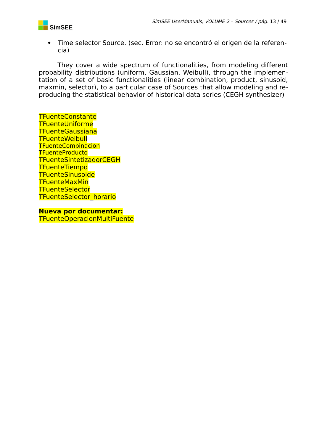

<span id="page-12-0"></span> Time selector Source. (sec. [Error: no se encontró el origen de la referen](#page-12-0)[cia\)](#page-12-0)

They cover a wide spectrum of functionalities, from modeling different probability distributions (uniform, Gaussian, Weibull), through the implementation of a set of basic functionalities (linear combination, product, sinusoid, maxmin, selector), to a particular case of Sources that allow modeling and reproducing the statistical behavior of historical data series (CEGH synthesizer)

**TFuenteConstante TFuenteUniforme** TFuenteGaussiana TFuenteWeibull TFuenteCombinacion **TFuenteProducto** TFuenteSintetizadorCEGH TFuenteTiempo **TFuenteSinusoide** TFuenteMaxMin TFuenteSelector TFuenteSelector\_horario

**Nueva por documentar:** TFuenteOperacionMultiFuente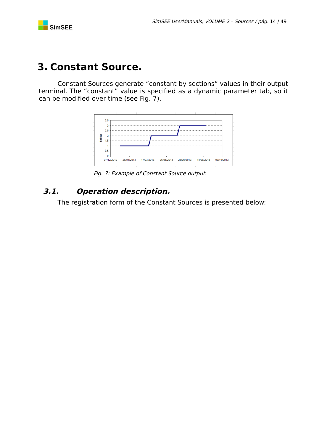

## <span id="page-13-1"></span> **3. Constant Source.**

Constant Sources generate "constant by sections" values in their output terminal. The "constant" value is specified as a dynamic parameter tab, so it can be modified over time (see [Fig. 7](#page-13-2)).



<span id="page-13-2"></span>Fig. 7: Example of Constant Source output.

#### **3.1. Operation description.**

<span id="page-13-0"></span>The registration form of the Constant Sources is presented below: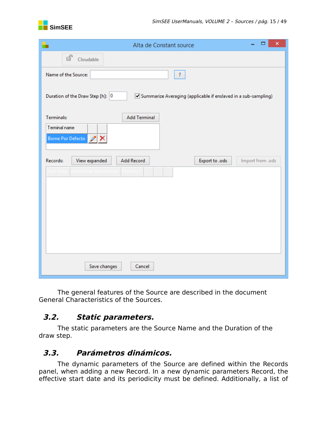

|                                                                                                      | Ξ<br>×<br>Alta de Constant source                       |  |  |
|------------------------------------------------------------------------------------------------------|---------------------------------------------------------|--|--|
| ď<br>Cloudable                                                                                       |                                                         |  |  |
| Name of the Source:                                                                                  | Ŧ.                                                      |  |  |
| Duration of the Draw Step [h]: 0<br>√ Summarize Averaging (applicable if enslaved in a sub-sampling) |                                                         |  |  |
| Terminals:                                                                                           | <b>Add Terminal</b>                                     |  |  |
| Terminal name<br>Borne Por Defecto<br>$\boldsymbol{\times}$                                          |                                                         |  |  |
|                                                                                                      |                                                         |  |  |
| Records:<br>View expanded                                                                            | <b>Add Record</b><br>Import from .ods<br>Export to .ods |  |  |
|                                                                                                      |                                                         |  |  |
|                                                                                                      |                                                         |  |  |
|                                                                                                      |                                                         |  |  |
|                                                                                                      |                                                         |  |  |
|                                                                                                      |                                                         |  |  |
|                                                                                                      |                                                         |  |  |
|                                                                                                      |                                                         |  |  |
| Save changes                                                                                         | Cancel                                                  |  |  |

The general features of the Source are described in the document General Characteristics of the Sources.

#### <span id="page-14-1"></span> **3.2. Static parameters.**

The static parameters are the Source Name and the Duration of the draw step.

#### <span id="page-14-0"></span> **3.3. Parámetros dinámicos.**

The dynamic parameters of the Source are defined within the Records panel, when adding a new Record. In a new dynamic parameters Record, the effective start date and its periodicity must be defined. Additionally, a list of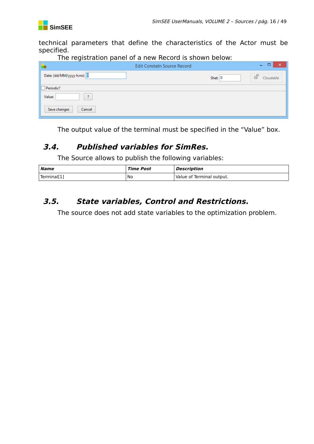

technical parameters that define the characteristics of the Actor must be specified. The registration panel of a new Record is shown below:

|                           | The registration panel of a new Record is shown below: |                |
|---------------------------|--------------------------------------------------------|----------------|
|                           | <b>Edit Constatn Source Record</b>                     | ×<br>÷         |
| Date: (dd/MM/yyyy h:nn) 0 | Shet: 0                                                | ď<br>Cloudable |
| Periodic?                 |                                                        |                |
| Value:                    |                                                        |                |
| Save changes<br>Cancel    |                                                        |                |

The output value of the terminal must be specified in the "Value" box.

#### **3.4. Published variables for SimRes.**

<span id="page-15-1"></span>The Source allows to publish the following variables:

| <b>Name</b> | <b>Time Post</b> | Description               |
|-------------|------------------|---------------------------|
| Terminal[1] | No               | Value of Terminal output. |

#### <span id="page-15-0"></span> **3.5. State variables, Control and Restrictions.**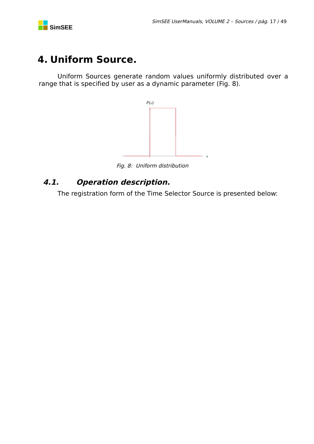

## <span id="page-16-1"></span> **4. Uniform Source.**

Uniform Sources generate random values uniformly distributed over a range that is specified by user as a dynamic parameter [\(Fig. 8\)](#page-16-2).



<span id="page-16-2"></span>Fig. 8: Uniform distribution

#### **4.1. Operation description.**

<span id="page-16-0"></span>The registration form of the Time Selector Source is presented below: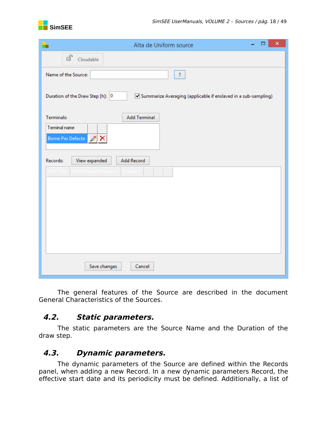

|                                                | ×<br>□<br>Alta de Uniform source                                 |
|------------------------------------------------|------------------------------------------------------------------|
| ď<br>Cloudable                                 |                                                                  |
| Name of the Source:                            | Ĩ.                                                               |
| Duration of the Draw Step [h]: 0               | √ Summarize Averaging (applicable if enslaved in a sub-sampling) |
| Terminals:                                     | <b>Add Terminal</b>                                              |
| Terminal name<br><b>Borne Por Defecto</b><br>× |                                                                  |
| Records:<br>View expanded                      | <b>Add Record</b>                                                |
|                                                |                                                                  |
|                                                |                                                                  |
|                                                |                                                                  |
|                                                |                                                                  |
|                                                |                                                                  |
|                                                |                                                                  |
|                                                |                                                                  |
| Save changes                                   | Cancel                                                           |

The general features of the Source are described in the document General Characteristics of the Sources.

#### <span id="page-17-1"></span> **4.2. Static parameters.**

The static parameters are the Source Name and the Duration of the draw step.

#### <span id="page-17-0"></span> **4.3. Dynamic parameters.**

The dynamic parameters of the Source are defined within the Records panel, when adding a new Record. In a new dynamic parameters Record, the effective start date and its periodicity must be defined. Additionally, a list of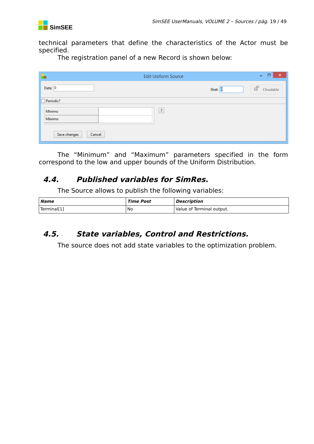

technical parameters that define the characteristics of the Actor must be specified.

The registration panel of a new Record is shown below:

|                        | □<br>$\boldsymbol{\mathsf{x}}$<br>÷<br><b>Edit Uniform Source</b> |
|------------------------|-------------------------------------------------------------------|
| Date: 0                | ď<br>Cloudable<br>Shet: $ 0$                                      |
| Periodic?              |                                                                   |
| Mínimo<br>Máximo       | $\mathbf{?}$                                                      |
| Save changes<br>Cancel |                                                                   |

The "Minimum" and "Maximum" parameters specified in the form correspond to the low and upper bounds of the Uniform Distribution.

#### **4.4. Published variables for SimRes.**

<span id="page-18-1"></span>The Source allows to publish the following variables:

| Name                     | <b>Time Post</b> | <b>Description</b>        |
|--------------------------|------------------|---------------------------|
| <sup> </sup> Terminal[1] | N0               | Value of Terminal output. |

#### <span id="page-18-0"></span> **4.5. State variables, Control and Restrictions.**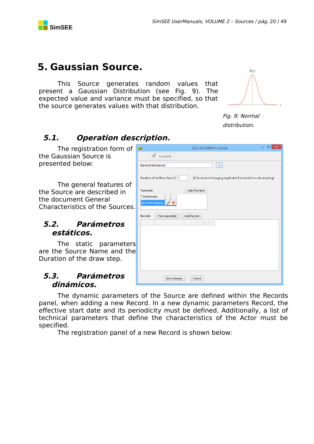

## <span id="page-19-3"></span> **5. Gaussian Source.**

This Source generates random values that present a Gaussian Distribution (see [Fig. 9\)](#page-19-4). The expected value and variance must be specified, so that the source generates values with that distribution.

<span id="page-19-4"></span>

Fig. 9: Normal distribution.

#### <span id="page-19-2"></span> **5.1. Operation description.**

The registration form of the Gaussian Source is presented below:

The general features of the Source are described in the document General Characteristics of the Sources.

|                                                                            | $\Box$<br>$\boldsymbol{\mathsf{x}}$<br>Alta de Uniform source    |
|----------------------------------------------------------------------------|------------------------------------------------------------------|
| $\overline{\mathbb{S}}^n$ Cloudable                                        |                                                                  |
| Name of the Source:                                                        | $\overline{\mathcal{E}}$                                         |
| Duration of the Draw Step [h]: 0                                           | ☑ Summarize Averaging (applicable if enslaved in a sub-sampling) |
| Terminals:<br>Terminal name<br>$\mathscr{D}$ $\times$<br>Borne Por Defecto | <b>Add Terminal</b>                                              |
| Records:<br>View expanded                                                  | <b>Add Record</b>                                                |
|                                                                            |                                                                  |
| Save changes                                                               | Cancel                                                           |

#### <span id="page-19-1"></span> **5.2. Parámetros estáticos.**

The static parameters are the Source Name and the Duration of the draw step.

#### <span id="page-19-0"></span> **5.3. Parámetros dinámicos.**

The dynamic parameters of the Source are defined within the Records panel, when adding a new Record. In a new dynamic parameters Record, the effective start date and its periodicity must be defined. Additionally, a list of technical parameters that define the characteristics of the Actor must be specified.

The registration panel of a new Record is shown below: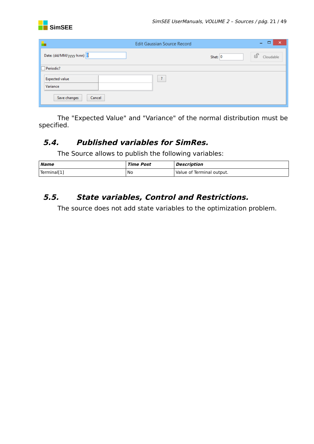

| <b>Edit Gaussian Source Record</b><br>т                      | □<br>×<br>$\equiv$        |
|--------------------------------------------------------------|---------------------------|
| Date: (dd/MM/yyyy h:nn)                                      | ď<br>Cloudable<br>Shet: 0 |
| Periodic?                                                    |                           |
| $\overline{\mathbf{?}}$<br><b>Expected value</b><br>Variance |                           |
| Save changes<br>Cancel                                       |                           |

The "Expected Value" and "Variance" of the normal distribution must be specified.

#### **5.4. Published variables for SimRes.**

<span id="page-20-1"></span>The Source allows to publish the following variables:

| <b>Name</b>             | <b>Time Post</b> | Description               |
|-------------------------|------------------|---------------------------|
| Terminal <sup>[1]</sup> | No               | Value of Terminal output. |

#### <span id="page-20-0"></span> **5.5. State variables, Control and Restrictions.**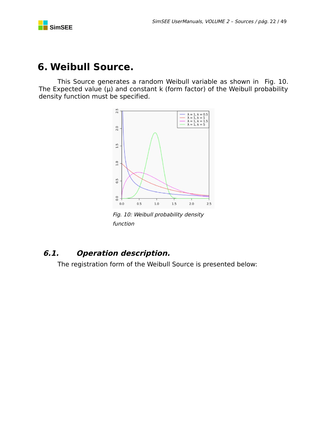



## <span id="page-21-1"></span> **6. Weibull Source.**

This Source generates a random Weibull variable as shown in [Fig. 10](#page-21-2). The Expected value  $(\mu)$  and constant k (form factor) of the Weibull probability density function must be specified.



<span id="page-21-2"></span>Fig. 10: Weibull probability density function

#### **6.1. Operation description.**

<span id="page-21-0"></span>The registration form of the Weibull Source is presented below: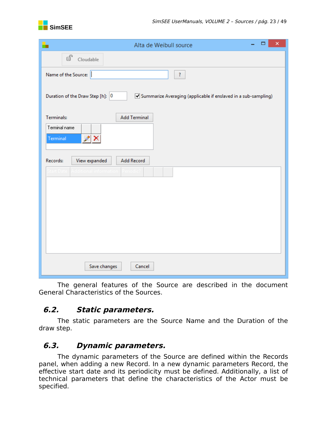

| ×<br>□<br>Alta de Weibull source                                                                     |  |  |  |
|------------------------------------------------------------------------------------------------------|--|--|--|
| ď<br>Cloudable                                                                                       |  |  |  |
| Name of the Source:<br>$\overline{\mathbf{?}}$                                                       |  |  |  |
| Duration of the Draw Step [h]: 0<br>○ Summarize Averaging (applicable if enslaved in a sub-sampling) |  |  |  |
| Terminals:<br><b>Add Terminal</b>                                                                    |  |  |  |
| Terminal name                                                                                        |  |  |  |
| $\mathscr{P} \mathsf{X}$<br>Terminal                                                                 |  |  |  |
|                                                                                                      |  |  |  |
| Records:<br>View expanded<br><b>Add Record</b>                                                       |  |  |  |
|                                                                                                      |  |  |  |
|                                                                                                      |  |  |  |
|                                                                                                      |  |  |  |
|                                                                                                      |  |  |  |
|                                                                                                      |  |  |  |
|                                                                                                      |  |  |  |
|                                                                                                      |  |  |  |
|                                                                                                      |  |  |  |
| Save changes<br>Cancel                                                                               |  |  |  |

The general features of the Source are described in the document General Characteristics of the Sources.

#### <span id="page-22-1"></span> **6.2. Static parameters.**

The static parameters are the Source Name and the Duration of the draw step.

#### <span id="page-22-0"></span> **6.3. Dynamic parameters.**

The dynamic parameters of the Source are defined within the Records panel, when adding a new Record. In a new dynamic parameters Record, the effective start date and its periodicity must be defined. Additionally, a list of technical parameters that define the characteristics of the Actor must be specified.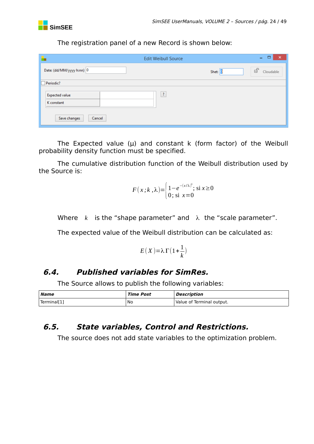

The registration panel of a new Record is shown below:

| <b>Edit Weibull Source</b>                          | □<br>$\boldsymbol{\mathsf{x}}$<br>÷  |
|-----------------------------------------------------|--------------------------------------|
| Date: (dd/MM/yyyy h:nn) 0                           | $\mathbb{F}^n$<br>Cloudable<br>Shet: |
| Periodic?                                           |                                      |
| $\mathbf{?}$<br><b>Expected value</b><br>K constant |                                      |
| Save changes<br>Cancel                              |                                      |

The Expected value  $(\mu)$  and constant k (form factor) of the Weibull probability density function must be specified.

The cumulative distribution function of the Weibull distribution used by the Source is:

$$
F(x;k,\lambda) = \begin{cases} 1 - e^{-(x/\lambda)^{k}}; \text{ si } x \ge 0\\ 0; \text{ si } x = 0 \end{cases}
$$

Where  $k$  is the "shape parameter" and  $\lambda$  the "scale parameter".

The expected value of the Weibull distribution can be calculated as:

$$
E(X) = \lambda \Gamma(1 + \frac{1}{k})
$$

#### **6.4. Published variables for SimRes.**

<span id="page-23-1"></span>The Source allows to publish the following variables:

| <b>Name</b> | <b>Time Post</b> | Description               |
|-------------|------------------|---------------------------|
| Terminal[1] | No               | Value of Terminal output. |

#### <span id="page-23-0"></span> **6.5. State variables, Control and Restrictions.**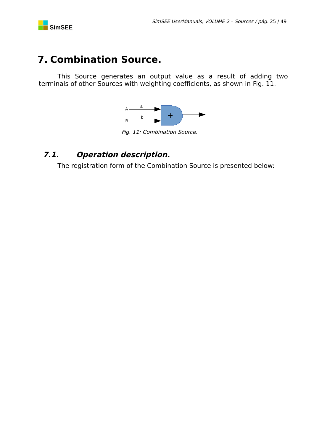

## <span id="page-24-1"></span> **7. Combination Source.**

This Source generates an output value as a result of adding two terminals of other Sources with weighting coefficients, as shown in [Fig. 11.](#page-24-2)



<span id="page-24-2"></span>Fig. 11: Combination Source.

#### **7.1. Operation description.**

<span id="page-24-0"></span>The registration form of the Combination Source is presented below: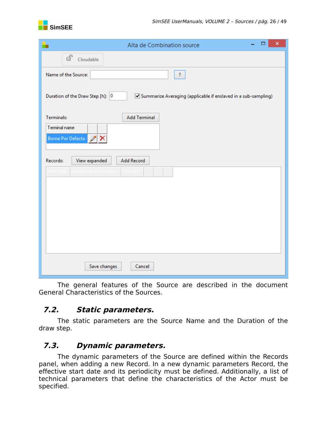

|                                  | Ξ<br>×<br>Alta de Combination source                             |  |
|----------------------------------|------------------------------------------------------------------|--|
| ď<br>Cloudable                   |                                                                  |  |
| Name of the Source:              | Ŧ.                                                               |  |
| Duration of the Draw Step [h]: 0 | ☑ Summarize Averaging (applicable if enslaved in a sub-sampling) |  |
| Terminals:                       | <b>Add Terminal</b>                                              |  |
| Terminal name                    |                                                                  |  |
| <b>Borne Por Defecto</b>         | ×                                                                |  |
| Records:<br>View expanded        | <b>Add Record</b>                                                |  |
|                                  |                                                                  |  |
|                                  |                                                                  |  |
|                                  |                                                                  |  |
|                                  |                                                                  |  |
|                                  |                                                                  |  |
|                                  |                                                                  |  |
|                                  |                                                                  |  |
| Save changes<br>Cancel           |                                                                  |  |

The general features of the Source are described in the document General Characteristics of the Sources.

#### <span id="page-25-1"></span> **7.2. Static parameters.**

The static parameters are the Source Name and the Duration of the draw step.

#### <span id="page-25-0"></span> **7.3. Dynamic parameters.**

The dynamic parameters of the Source are defined within the Records panel, when adding a new Record. In a new dynamic parameters Record, the effective start date and its periodicity must be defined. Additionally, a list of technical parameters that define the characteristics of the Actor must be specified.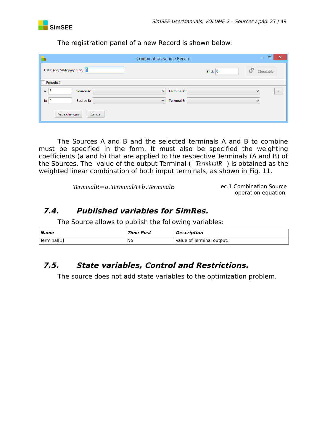

The registration panel of a new Record is shown below:

| $\boldsymbol{\mathsf{x}}$<br>$\equiv$<br><b>Combination Source Record</b> |                 |                   |  |
|---------------------------------------------------------------------------|-----------------|-------------------|--|
| Date: (dd/MM/yyyy h:nn) 0                                                 | ď<br>Shet: 0    | Cloudable         |  |
| Periodic?                                                                 |                 |                   |  |
| $a:$ ?<br>Source A:                                                       | Termina A:<br>v | 3<br>$\checkmark$ |  |
| $b:$ ?<br>Source B:                                                       | Termnal B:<br>v | $\mathbf{v}$      |  |
| Save changes<br>Cancel                                                    |                 |                   |  |

The Sources A and B and the selected terminals A and B to combine must be specified in the form. It must also be specified the weighting coefficients (a and b) that are applied to the respective Terminals (A and B) of the Sources. The value of the output Terminal ( *TerminalR* ) is obtained as the weighted linear combination of both imput terminals, as shown in [Fig. 11.](#page-24-2)

*TerminalR*=*a* .*TerminalA*+*b* .*TerminalB* ec.1 Combination Source

operation equation.

#### **7.4. Published variables for SimRes.**

<span id="page-26-1"></span>The Source allows to publish the following variables:

| <b>Name</b> | <b>Time Post</b> | Description               |
|-------------|------------------|---------------------------|
| Terminal[1] | No               | Value of Terminal output. |

#### <span id="page-26-0"></span> **7.5. State variables, Control and Restrictions.**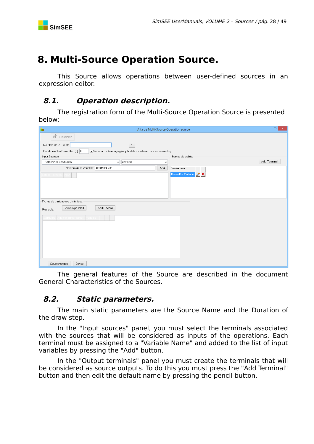

## <span id="page-27-1"></span> **8. Multi-Source Operation Source.**

This Source allows operations between user-defined sources in an expression editor.

#### <span id="page-27-0"></span> **8.1. Operation description.**

The registration form of the Multi-Source Operation Source is presented below:

| $   \times$<br>Alta de Multi-Source Operation source                                                 |                                            |  |
|------------------------------------------------------------------------------------------------------|--------------------------------------------|--|
| $\mathbb{G}$ Cloudable                                                                               |                                            |  |
| Nombre de la Fuente<br>$\,$ ? $\,$                                                                   |                                            |  |
| Duration of the Draw Step [h]: 0<br>☑ Summarize Averaging (applicable if enslaved in a sub-sampling) |                                            |  |
| Input Sources                                                                                        | Bornes de salida                           |  |
| cbBorne<br>- Seleccione una fuente -<br>$\checkmark$<br>$\checkmark$                                 | Add Terminal                               |  |
| Nombre de la variable: eNombreVar<br>Add                                                             | Terminal name                              |  |
|                                                                                                      | $\mathbb{Z}^{\times}$<br>Borne Por Defecto |  |
|                                                                                                      |                                            |  |
|                                                                                                      |                                            |  |
|                                                                                                      |                                            |  |
| Fichas de parámetros dinámicos.                                                                      |                                            |  |
|                                                                                                      |                                            |  |
| View expanded<br>Add Record<br>Records:                                                              |                                            |  |
| dditional information<br>art Date<br>rerinci                                                         |                                            |  |
|                                                                                                      |                                            |  |
|                                                                                                      |                                            |  |
|                                                                                                      |                                            |  |
|                                                                                                      |                                            |  |
|                                                                                                      |                                            |  |
|                                                                                                      |                                            |  |
|                                                                                                      |                                            |  |
| Save changes<br>Cancel                                                                               |                                            |  |

The general features of the Source are described in the document General Characteristics of the Sources.

#### <span id="page-27-2"></span> **8.2. Static parameters.**

The main static parameters are the Source Name and the Duration of the draw step.

In the "Input sources" panel, you must select the terminals associated with the sources that will be considered as inputs of the operations. Each terminal must be assigned to a "Variable Name" and added to the list of input variables by pressing the "Add" button.

In the "Output terminals" panel you must create the terminals that will be considered as source outputs. To do this you must press the "Add Terminal" button and then edit the default name by pressing the pencil button.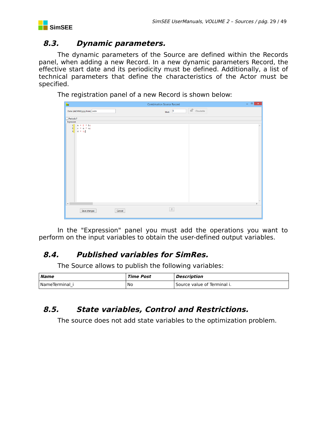

#### <span id="page-28-2"></span> **8.3. Dynamic parameters.**

The dynamic parameters of the Source are defined within the Records panel, when adding a new Record. In a new dynamic parameters Record, the effective start date and its periodicity must be defined. Additionally, a list of technical parameters that define the characteristics of the Actor must be specified.

The registration panel of a new Record is shown below:

| a.                                                                                               | 도 <b>ㅎ </b><br><b>Combination Source Record</b>                                                                                                                         | $\propto$      |
|--------------------------------------------------------------------------------------------------|-------------------------------------------------------------------------------------------------------------------------------------------------------------------------|----------------|
| Date: (dd/MM/yyyy h:nn) auto                                                                     | $\overline{\mathbb{S}}^n$ Cloudable<br>$\begin{tabular}{ c c } \hline & \multicolumn{1}{ c }{\textbf{Shet:}} & \multicolumn{1}{ c }{\textbf{O}}\\ \hline \end{tabular}$ |                |
| Periodic?                                                                                        |                                                                                                                                                                         |                |
| Expresion                                                                                        |                                                                                                                                                                         |                |
| $\mathbf{1}$<br>$a = 2 * b;$<br>$\sqrt{2}$<br>$c = a * a;$<br>$\overline{\mathbf{3}}$<br>$d = 1$ |                                                                                                                                                                         |                |
| $\langle$                                                                                        |                                                                                                                                                                         | $\sim$<br>$\,$ |
| Save changes                                                                                     | $\overline{\mathcal{X}}$<br>Cancel                                                                                                                                      |                |

In the "Expression" panel you must add the operations you want to perform on the input variables to obtain the user-defined output variables.

#### **8.4. Published variables for SimRes.**

<span id="page-28-1"></span>The Source allows to publish the following variables:

| Name              | <b>Time Post</b> | Description                 |
|-------------------|------------------|-----------------------------|
| NameTerminal<br>- | Νo               | Source value of Terminal i. |

#### <span id="page-28-0"></span> **8.5. State variables, Control and Restrictions.**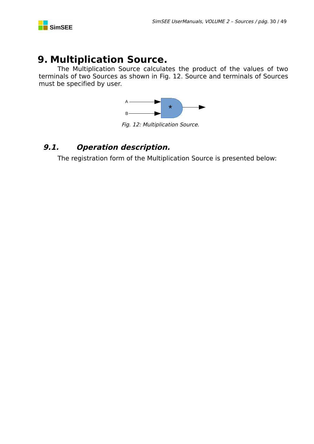

## <span id="page-29-1"></span> **9. Multiplication Source.**

The Multiplication Source calculates the product of the values of two terminals of two Sources as shown in [Fig. 12](#page-29-2). Source and terminals of Sources must be specified by user.



<span id="page-29-2"></span>Fig. 12: Multiplication Source.

#### **9.1. Operation description.**

<span id="page-29-0"></span>The registration form of the Multiplication Source is presented below: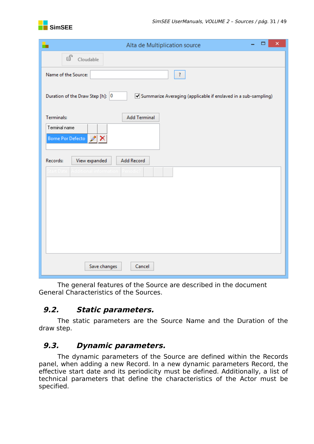

|                                                             | Ξ<br>×<br>Alta de Multiplication source                          |  |  |  |
|-------------------------------------------------------------|------------------------------------------------------------------|--|--|--|
| ď<br>Cloudable                                              |                                                                  |  |  |  |
| Name of the Source:                                         | ?                                                                |  |  |  |
| Duration of the Draw Step [h]: 0                            | √ Summarize Averaging (applicable if enslaved in a sub-sampling) |  |  |  |
| Terminals:                                                  | <b>Add Terminal</b>                                              |  |  |  |
| Terminal name<br>Borne Por Defecto<br>$\boldsymbol{\times}$ |                                                                  |  |  |  |
| Records:<br>View expanded                                   | <b>Add Record</b>                                                |  |  |  |
|                                                             |                                                                  |  |  |  |
|                                                             |                                                                  |  |  |  |
|                                                             |                                                                  |  |  |  |
|                                                             |                                                                  |  |  |  |
|                                                             |                                                                  |  |  |  |
|                                                             |                                                                  |  |  |  |
|                                                             |                                                                  |  |  |  |
| Save changes                                                | Cancel                                                           |  |  |  |

The general features of the Source are described in the document General Characteristics of the Sources.

#### <span id="page-30-1"></span> **9.2. Static parameters.**

The static parameters are the Source Name and the Duration of the draw step.

#### <span id="page-30-0"></span> **9.3. Dynamic parameters.**

The dynamic parameters of the Source are defined within the Records panel, when adding a new Record. In a new dynamic parameters Record, the effective start date and its periodicity must be defined. Additionally, a list of technical parameters that define the characteristics of the Actor must be specified.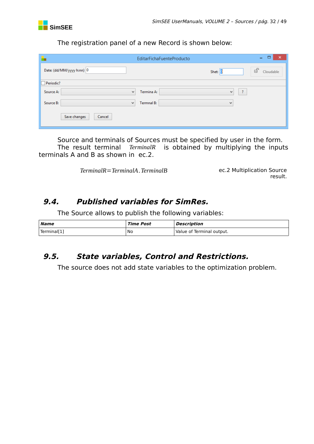

The registration panel of a new Record is shown below:

|                           | EditarFichaFuenteProducto |                   | □<br>ГX,<br>$\equiv$ |
|---------------------------|---------------------------|-------------------|----------------------|
| Date: (dd/MM/yyyy h:nn) 0 |                           | Shet: 0           | ď<br>Cloudable       |
| Periodic?                 |                           |                   |                      |
| Source A:<br>v            | Termina A:                | 3<br>$\mathbf{v}$ |                      |
| Source B:<br>v            | Termnal B:                | $\mathcal{A}$     |                      |
| Save changes<br>Cancel    |                           |                   |                      |

Source and terminals of Sources must be specified by user in the form. The result terminal *TerminalR* is obtained by multiplying the inputs terminals A and B as shown in [ec.2](#page-31-2).

*TerminalR*=*TerminalA*.*TerminalB* ec.2 Multiplication Source

<span id="page-31-2"></span>result.

#### **9.4. Published variables for SimRes.**

<span id="page-31-1"></span>The Source allows to publish the following variables:

| <b>Name</b> | <b>Time Post</b> | Description               |
|-------------|------------------|---------------------------|
| Terminal[1] | No               | Value of Terminal output. |

#### <span id="page-31-0"></span> **9.5. State variables, Control and Restrictions.**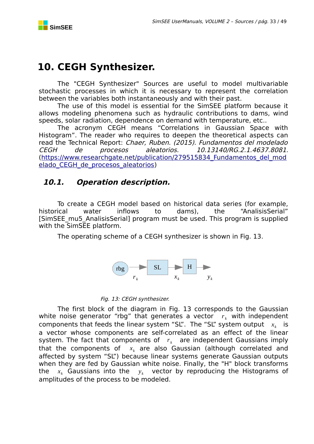

## <span id="page-32-1"></span> **10. CEGH Synthesizer.**

The "CEGH Synthesizer" Sources are useful to model multivariable stochastic processes in which it is necessary to represent the correlation between the variables both instantaneously and with their past.

The use of this model is essential for the SimSEE platform because it allows modeling phenomena such as hydraulic contributions to dams, wind speeds, solar radiation, dependence on demand with temperature, etc..

The acronym CEGH means "Correlations in Gaussian Space with Histogram". The reader who requires to deepen the theoretical aspects can read the Technical Report: Chaer, Ruben. (2015). Fundamentos del modelado CEGH de procesos aleatorios. 10.13140/RG.2.1.4637.8081. [\(https://www.researchgate.net/publication/279515834\\_Fundamentos\\_del\\_mod](https://www.researchgate.net/publication/279515834_Fundamentos_del_modelado_CEGH_de_procesos_aleatorios) [elado\\_CEGH\\_de\\_procesos\\_aleatorios\)](https://www.researchgate.net/publication/279515834_Fundamentos_del_modelado_CEGH_de_procesos_aleatorios)

#### <span id="page-32-0"></span> **10.1. Operation description.**

To create a CEGH model based on historical data series (for example, historical water inflows to dams), the "AnalisisSerial" [SimSEE\_mu5\_AnalisisSerial] program must be used. This program is supplied with the SimSEE platform.

The operating scheme of a CEGH synthesizer is shown in [Fig. 13](#page-32-2).



#### <span id="page-32-2"></span>Fig. 13: CEGH synthesizer.

The first block of the diagram in [Fig. 13](#page-32-2) corresponds to the Gaussian white noise generator "rbg" that generates a vector  $r_k$  with independent components that feeds the linear system "SL". The "SL" system output *x<sup>k</sup>* is a vector whose components are self-correlated as an effect of the linear system. The fact that components of  $r_k$  are independent Gaussians imply that the components of *x<sup>k</sup>* are also Gaussian (although correlated and affected by system "SL") because linear systems generate Gaussian outputs when they are fed by Gaussian white noise. Finally, the "H" block transforms the *x<sup>k</sup>* Gaussians into the *y<sup>k</sup>* vector by reproducing the Histograms of amplitudes of the process to be modeled.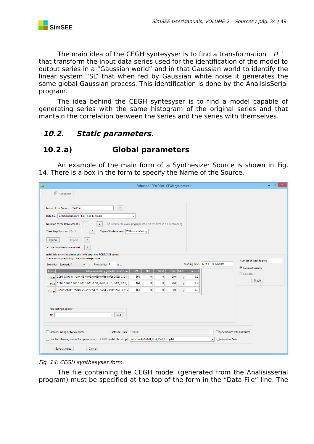

The main idea of the CEGH syntesyser is to find a transformation  $H^{-1}$ that transform the input data series used for the identification of the model to output series in a "Gaussian world" and in that Gaussian world to identify the linear system "SL" that when fed by Gaussian white noise it generates the same global Gaussian process. This identification is done by the AnalisisSerial program.

The idea behind the CEGH syntesyser is to find a model capable of generating series with the same histogram of the original series and that mantain the correlation between the series and the series with themselves.

#### <span id="page-33-1"></span> **10.2. Static parameters.**

#### <span id="page-33-0"></span> **10.2.a) Global parameters**

An example of the main form of a Synthesizer Source is shown in [Fig.](#page-33-2) [14.](#page-33-2) There is a box in the form to specify the Name of the Source.

| Editando "PEoIPSol" CEGH synthesizer<br>m                                                                                                                                                                                                                                                                                                                                                                                                                                                                                                                                        | $\mathbf{x}$<br>- - 1                  |
|----------------------------------------------------------------------------------------------------------------------------------------------------------------------------------------------------------------------------------------------------------------------------------------------------------------------------------------------------------------------------------------------------------------------------------------------------------------------------------------------------------------------------------------------------------------------------------|----------------------------------------|
| F.<br>Cloudable                                                                                                                                                                                                                                                                                                                                                                                                                                                                                                                                                                  |                                        |
| Name of the Source: PEoIPSol<br>$\mathcal{R}$<br>Data file: SintetizadorCEGH_PEol_PSol_Temp.txt<br>v<br>Duration of the Draw Step [h]:<br>ş.<br>√ Summarize Averaging (applicable if enslaved in a sub-sampling)<br>Type of Enslavement: Without enslaving<br>Time Step Duration [h]:<br>$\overline{\mathbf{?}}$<br>$\overline{\mathbf{?}}$<br><b>Explore</b><br>Import<br>Use simplified cone model.<br>$\overline{?}$<br>Initial Values for Simulation (by raffle step) and FORECAST cones:                                                                                    |                                        |
| Scenarios for predicting current state trajectories.<br>Starting date: 2019-11-15 12:00:00                                                                                                                                                                                                                                                                                                                                                                                                                                                                                       | Number of steps to plot:               |
| Scenario: Escenario 1<br>Probability: 1<br>$\checkmark$<br>p.u.<br>Borne<br><b>NPCC</b><br><b>NPLC</b><br><b>NPSA</b><br>NPAC NRet.<br>ai[p.u.]<br>Valores iniciales y guía del pronóstico.<br>0.096; 0.103; 0.110; 0.108; 0.095; 0.083; 0.076; 0.079; 0.093; 0.121;<br>164<br>$\mathbf{0}$<br>200<br>0<br>0.2<br>PEol<br>1.000; 1.000; 1.000; 1.000; 1.000; 0.734; 0.430; 0.165; 0.008; 0.000;<br>164<br>0<br>0<br>200<br>0.2<br>PSol<br>23.564; 24.511; 25.103; 25.323; 25.329; 24.763; 23.944; 21.734; 19.2<br>164<br>$\mathbf{0}$<br>$\mathbf{0}$<br>200<br>0.2<br>Temp<br>1 | Current Scenario<br>○ Complex<br>Graph |
| <b>Forecasting Supplier</b><br><b>GET</b><br>url                                                                                                                                                                                                                                                                                                                                                                                                                                                                                                                                 |                                        |
| Simulate using historical data?<br>Synchronize with Historical<br>Historical Data: <none><br/>Use the following model for optimization. CEGH model file for Opt:   SintetizadorCEGH_PEol_PSol_Temp.txt<br/>-Random Seed<br/>٧<br/>Save changes<br/>Cancel</none>                                                                                                                                                                                                                                                                                                                 |                                        |

<span id="page-33-2"></span>Fig. 14: CEGH synthesyser form.

The file containing the CEGH model (generated from the Analisisserial program) must be specified at the top of the form in the "Data File" line. The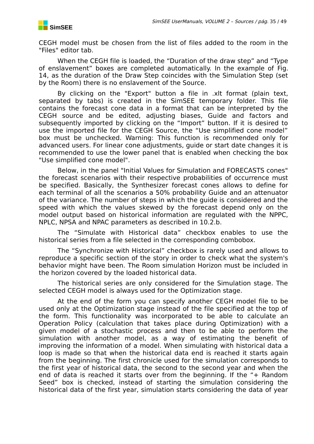

CEGH model must be chosen from the list of files added to the room in the "Files" editor tab.

When the CEGH file is loaded, the "Duration of the draw step" and "Type of enslavement" boxes are completed automatically. In the example of [Fig.](#page-33-2) [14,](#page-33-2) as the duration of the Draw Step coincides with the Simulation Step (set by the Room) there is no enslavement of the Source.

By clicking on the "Export" button a file in .xlt format (plain text, separated by tabs) is created in the SimSEE temporary folder. This file contains the forecast cone data in a format that can be interpreted by the CEGH source and be edited, adjusting biases, Guide and factors and subsequently imported by clicking on the "Import" button. If it is desired to use the imported file for the CEGH Source, the "Use simplified cone model" box must be unchecked. Warning: This function is recommended only for advanced users. For linear cone adjustments, guide or start date changes it is recommended to use the lower panel that is enabled when checking the box "Use simplified cone model".

Below, in the panel "Initial Values for Simulation and FORECASTS cones" the forecast scenarios with their respective probabilities of occurrence must be specified. Basically, the Synthesizer forecast cones allows to define for each terminal of all the scenarios a 50% probability Guide and an attenuator of the variance. The number of steps in which the guide is considered and the speed with which the values skewed by the forecast depend only on the model output based on historical information are regulated with the NPPC, NPLC, NPSA and NPAC parameters as described in [10.2.b.](#page-35-0)

The "Simulate with Historical data" checkbox enables to use the historical series from a file selected in the corresponding combobox.

The "Synchronize with Historical" checkbox is rarely used and allows to reproduce a specific section of the story in order to check what the system's behavior might have been. The Room simulation Horizon must be included in the horizon covered by the loaded historical data.

The historical series are only considered for the Simulation stage. The selected CEGH model is always used for the Optimization stage.

At the end of the form you can specify another CEGH model file to be used only at the Optimization stage instead of the file specified at the top of the form. This functionality was incorporated to be able to calculate an Operation Policy (calculation that takes place during Optimization) with a given model of a stochastic process and then to be able to perform the simulation with another model, as a way of estimating the benefit of improving the information of a model. When simulating with historical data a loop is made so that when the historical data end is reached it starts again from the beginning. The first chronicle used for the simulation corresponds to the first year of historical data, the second to the second year and when the end of data is reached it starts over from the beginning. If the "+ Random Seed" box is checked, instead of starting the simulation considering the historical data of the first year, simulation starts considering the data of year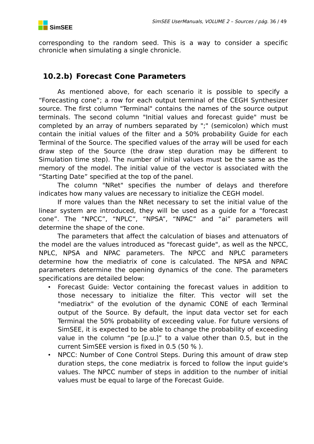

corresponding to the random seed. This is a way to consider a specific chronicle when simulating a single chronicle.

#### <span id="page-35-0"></span> **10.2.b) Forecast Cone Parameters**

As mentioned above, for each scenario it is possible to specify a "Forecasting cone"; a row for each output terminal of the CEGH Synthesizer source. The first column "Terminal" contains the names of the source output terminals. The second column "Initial values and forecast guide" must be completed by an array of numbers separated by ";" (semicolon) which must contain the initial values of the filter and a 50% probability Guide for each Terminal of the Source. The specified values of the array will be used for each draw step of the Source (the draw step duration may be different to Simulation time step). The number of initial values must be the same as the memory of the model. The initial value of the vector is associated with the "Starting Date" specified at the top of the panel.

The column "NRet" specifies the number of delays and therefore indicates how many values are necessary to initialize the CEGH model.

If more values than the NRet necessary to set the initial value of the linear system are introduced, they will be used as a guide for a "forecast cone". The "NPCC", "NPLC", "NPSA", "NPAC" and "ai" parameters will determine the shape of the cone.

The parameters that affect the calculation of biases and attenuators of the model are the values introduced as "forecast guide", as well as the NPCC, NPLC, NPSA and NPAC parameters. The NPCC and NPLC parameters determine how the mediatrix of cone is calculated. The NPSA and NPAC parameters determine the opening dynamics of the cone. The parameters specifications are detailed below:

- Forecast Guide: Vector containing the forecast values in addition to those necessary to initialize the filter. This vector will set the "mediatrix" of the evolution of the dynamic CONE of each Terminal output of the Source. By default, the input data vector set for each Terminal the 50% probability of exceeding value. For future versions of SimSEE, it is expected to be able to change the probability of exceeding value in the column "pe [p.u.]" to a value other than 0.5, but in the current SimSEE version is fixed in 0.5 (50 % ).
- NPCC: Number of Cone Control Steps. During this amount of draw step duration steps, the cone mediatrix is forced to follow the input guide's values. The NPCC number of steps in addition to the number of initial values must be equal to large of the Forecast Guide.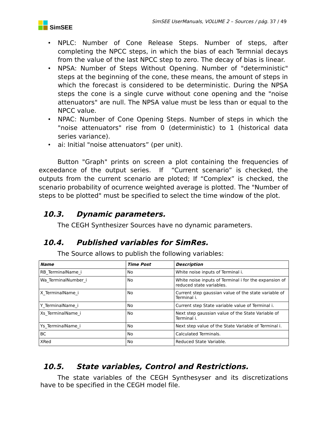

- NPLC: Number of Cone Release Steps. Number of steps, after completing the NPCC steps, in which the bias of each Termnial decays from the value of the last NPCC step to zero. The decay of bias is linear.
- NPSA: Number of Steps Without Opening. Number of "deterministic" steps at the beginning of the cone, these means, the amount of steps in which the forecast is considered to be deterministic. During the NPSA steps the cone is a single curve without cone opening and the "noise attenuators" are null. The NPSA value must be less than or equal to the NPCC value.
- NPAC: Number of Cone Opening Steps. Number of steps in which the "noise attenuators" rise from 0 (deterministic) to 1 (historical data series variance).
- ai: Initial "noise attenuators" (per unit).

Button "Graph" prints on screen a plot containing the frequencies of exceedance of the output series. If "Current scenario" is checked, the outputs from the current scenario are ploted; If "Complex" is checked, the scenario probability of ocurrence weighted average is plotted. The "Number of steps to be plotted" must be specified to select the time window of the plot.

#### **10.3. Dynamic parameters.**

<span id="page-36-2"></span>The CEGH Synthesizer Sources have no dynamic parameters.

#### **10.4. Published variables for SimRes.**

| <b>Name</b>         | <b>Time Post</b> | <b>Description</b>                                                                |
|---------------------|------------------|-----------------------------------------------------------------------------------|
| RB TerminalName i   | No               | White noise inputs of Terminal i.                                                 |
| Wa TerminalNumber i | No               | White noise inputs of Terminal i for the expansion of<br>reduced state variables. |
| X TerminalName i    | No               | Current step gaussian value of the state variable of<br>Terminal i.               |
| Y TerminalName i    | No               | Current step State variable value of Terminal i.                                  |
| Xs TerminalName i   | No               | Next step gaussian value of the State Variable of<br>Terminal i.                  |
| Ys TerminalName i   | No               | Next step value of the State Variable of Terminal i.                              |
| BC                  | No.              | Calculated Terminals.                                                             |
| XRed                | No               | Reduced State Variable.                                                           |

<span id="page-36-1"></span>The Source allows to publish the following variables:

#### <span id="page-36-0"></span> **10.5. State variables, Control and Restrictions.**

The state variables of the CEGH Synthesyser and its discretizations have to be specified in the CEGH model file.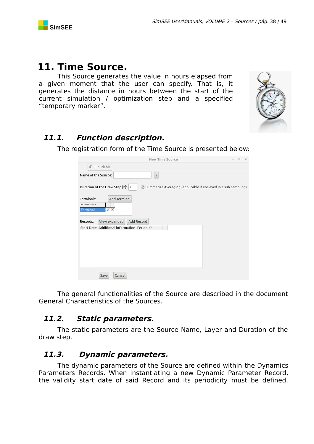

## <span id="page-37-3"></span> **11. Time Source.**

This Source generates the value in hours elapsed from a given moment that the user can specify. That is, it generates the distance in hours between the start of the current simulation / optimization step and a specified "temporary marker".



<span id="page-37-2"></span>The registration form of the Time Source is presented below:

| <b>New Time Source</b>                                                                                                      | □ | $\times$ |
|-----------------------------------------------------------------------------------------------------------------------------|---|----------|
| ď<br>Cloudable                                                                                                              |   |          |
| Name of the Source:<br>$\ddot{\cdot}$                                                                                       |   |          |
| Duration of the Draw Step [h]:<br>$\blacktriangleright$ Summarize Averaging (applicable if enslaved in a sub-sampling)<br>0 |   |          |
| Add Terminal<br>Terminals:                                                                                                  |   |          |
| Terminal name<br>Terminal<br>$\mathscr{P} \mathsf{X}$                                                                       |   |          |
|                                                                                                                             |   |          |
| Add Record<br>View expanded<br>Records:                                                                                     |   |          |
| Start Date Additional information Periodic?                                                                                 |   |          |
|                                                                                                                             |   |          |
|                                                                                                                             |   |          |
|                                                                                                                             |   |          |
|                                                                                                                             |   |          |
|                                                                                                                             |   |          |
|                                                                                                                             |   |          |
| Cancel<br>Save                                                                                                              |   |          |

The general functionalities of the Source are described in the document General Characteristics of the Sources.

#### <span id="page-37-1"></span> **11.2. Static parameters.**

The static parameters are the Source Name, Layer and Duration of the draw step.

#### <span id="page-37-0"></span> **11.3. Dynamic parameters.**

The dynamic parameters of the Source are defined within the Dynamics Parameters Records. When instantiating a new Dynamic Parameter Record, the validity start date of said Record and its periodicity must be defined.

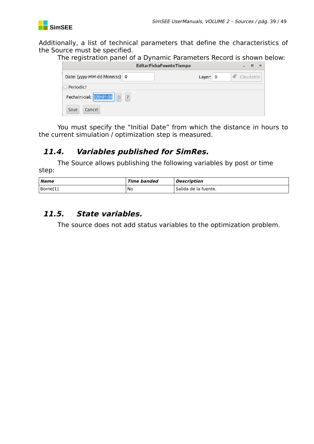

Additionally, a list of technical parameters that define the characteristics of the Source must be specified.

The registration panel of a Dynamic Parameters Record is shown below:

| -<br>-<br>EditarFichaFuenteTiempo             |            |           | $\Box$ |  |
|-----------------------------------------------|------------|-----------|--------|--|
| Date: (yyyy-MM-dd hh:nn:ss) 0                 | Layer: $0$ | cloudable |        |  |
| Periodic?                                     |            |           |        |  |
| Fechalnicial: 020-01-08<br>$\overline{\cdot}$ |            |           |        |  |
| Cancel<br>Save                                |            |           |        |  |

You must specify the "Initial Date" from which the distance in hours to the current simulation / optimization step is measured.

#### <span id="page-38-1"></span> **11.4. Variables published for SimRes.**

The Source allows publishing the following variables by post or time step:

| Name     | Time banded | Description          |
|----------|-------------|----------------------|
| Borne[1] | No          | Salida de la fuente. |

#### <span id="page-38-0"></span> **11.5. State variables.**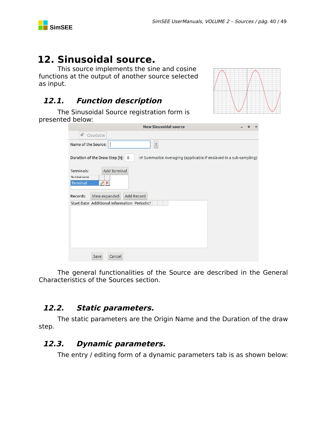

## <span id="page-39-3"></span> **12. Sinusoidal source.**

This source implements the sine and cosine functions at the output of another source selected as input.

#### **12.1. Function description**

The Sinusoidal Source registration form is presented below:

<span id="page-39-2"></span>

| <b>New Sinusoidal source</b>                                                                            | $\Box$ | $\times$ |
|---------------------------------------------------------------------------------------------------------|--------|----------|
| ď<br>Cloudable                                                                                          |        |          |
| Name of the Source:<br>$\overline{\cdot}$                                                               |        |          |
| Duration of the Draw Step [h]:<br>☑ Summarize Averaging (applicable if enslaved in a sub-sampling)<br>0 |        |          |
| Terminals:<br>Add Terminal<br><b>Terminal name</b><br><b>Terminal</b><br>$\mathscr{P}_1$<br>×           |        |          |
| Add Record<br>View expanded<br>Records:                                                                 |        |          |
| Start Date Additional information Periodic?                                                             |        |          |
| Cancel<br>Save                                                                                          |        |          |

The general functionalities of the Source are described in the General Characteristics of the Sources section.

#### <span id="page-39-1"></span> **12.2. Static parameters.**

The static parameters are the Origin Name and the Duration of the draw step.

#### **12.3. Dynamic parameters.**

<span id="page-39-0"></span>The entry / editing form of a dynamic parameters tab is as shown below: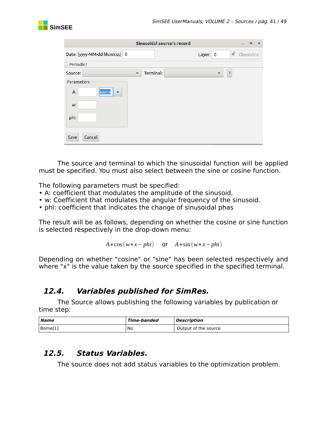

|                                         | Sinusoidal source's record        | $\Box$<br>$\times$                             |
|-----------------------------------------|-----------------------------------|------------------------------------------------|
| Date: (yyyy-MM-dd hh:nn:ss) 0           |                                   | ď<br>Cloudable<br>Layer: $\vert 0 \vert$       |
| Periodic?                               |                                   |                                                |
| Source:                                 | Terminal:<br>$\blacktriangledown$ | $\overline{\cdot}$<br>$\overline{\phantom{a}}$ |
| Parameters                              |                                   |                                                |
| А:<br>bseno<br>$\overline{\phantom{a}}$ |                                   |                                                |
| w:                                      |                                   |                                                |
| phi:                                    |                                   |                                                |
|                                         |                                   |                                                |
| Cancel<br>Save                          |                                   |                                                |

The source and terminal to which the sinusoidal function will be applied must be specified. You must also select between the sine or cosine function.

The following parameters must be specified:

- A: coefficient that modulates the amplitude of the sinusoid.
- w: Coefficient that modulates the angular frequency of the sinusoid.
- phi: coefficient that indicates the change of sinusoidal phas

The result will be as follows, depending on whether the cosine or sine function is selected respectively in the drop-down menu:

 $A * cos(w * x - phi)$  or  $A * sin(w * x - phi)$ 

Depending on whether "cosine" or "sine" has been selected respectively and where "x" is the value taken by the source specified in the specified terminal.

#### <span id="page-40-1"></span> **12.4. Variables published for SimRes.**

The Source allows publishing the following variables by publication or time step:

| <b>Name</b> | <b>Time-banded</b> | Description          |
|-------------|--------------------|----------------------|
| Borne[1]    | No                 | Output of the source |

#### <span id="page-40-0"></span> **12.5. Status Variables.**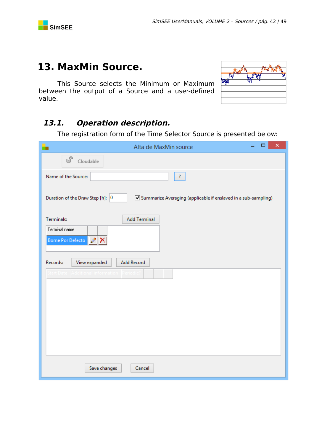

## <span id="page-41-1"></span> **13. MaxMin Source.**

This Source selects the Minimum or Maximum between the output of a Source and a user-defined value.

#### **13.1. Operation description.**

<span id="page-41-0"></span>The registration form of the Time Selector Source is presented below:

|                                                | ×<br>▭<br>Alta de MaxMin source                                  |
|------------------------------------------------|------------------------------------------------------------------|
| ď<br>Cloudable                                 |                                                                  |
| Name of the Source:                            | $\overline{\mathbf{?}}$                                          |
| Duration of the Draw Step [h]: 0               | √ Summarize Averaging (applicable if enslaved in a sub-sampling) |
| Terminals:                                     | <b>Add Terminal</b>                                              |
| Terminal name<br>×<br><b>Borne Por Defecto</b> |                                                                  |
| Records:<br>View expanded                      | <b>Add Record</b>                                                |
|                                                |                                                                  |
|                                                |                                                                  |
|                                                |                                                                  |
|                                                |                                                                  |
|                                                |                                                                  |
|                                                |                                                                  |
|                                                |                                                                  |
| Save changes                                   | Cancel                                                           |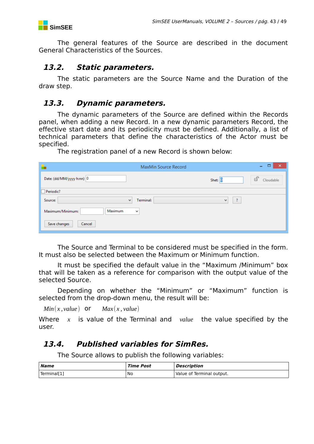

The general features of the Source are described in the document General Characteristics of the Sources.

#### <span id="page-42-2"></span> **13.2. Static parameters.**

The static parameters are the Source Name and the Duration of the draw step.

#### <span id="page-42-1"></span> **13.3. Dynamic parameters.**

The dynamic parameters of the Source are defined within the Records panel, when adding a new Record. In a new dynamic parameters Record, the effective start date and its periodicity must be defined. Additionally, a list of technical parameters that define the characteristics of the Actor must be specified.

The registration panel of a new Record is shown below:

| MaxMin Source Record                        | $\boldsymbol{\mathsf{x}}$<br>$\equiv$   |
|---------------------------------------------|-----------------------------------------|
| Date: (dd/MM/yyyy h:nn) 0                   | ď<br>Cloudable<br>Shet: $\vert 0 \vert$ |
| Periodic?                                   |                                         |
| Terminal:<br>Source:<br>v                   | -?<br>v                                 |
| Maximum<br>Maximum/Minimum:<br>$\checkmark$ |                                         |
| Cancel<br>Save changes                      |                                         |

The Source and Terminal to be considered must be specified in the form. It must also be selected between the Maximum or Minimum function.

It must be specified the default value in the "Maximum /Minimum" box that will be taken as a reference for comparison with the output value of the selected Source.

Depending on whether the "Minimum" or "Maximum" function is selected from the drop-down menu, the result will be:

*Min*(*x*, *value*) or *Max*(*x*, *value*)

Where *x* is value of the Terminal and *value* the value specified by the user.

#### **13.4. Published variables for SimRes.**

<span id="page-42-0"></span>The Source allows to publish the following variables:

| Name        | <b>Time Post</b> | Description               |
|-------------|------------------|---------------------------|
| Terminal[1] | No               | Value of Terminal output. |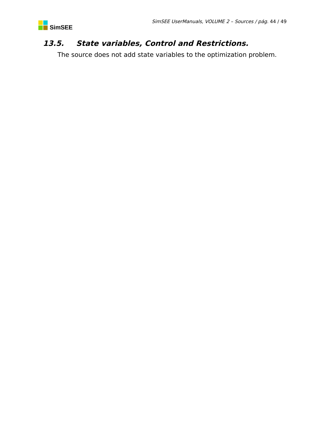

#### <span id="page-43-0"></span> **13.5. State variables, Control and Restrictions.**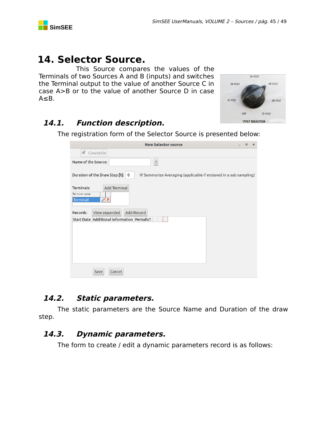

## <span id="page-44-3"></span> **14. Selector Source.**

This Source compares the values of the Terminals of two Sources A and B (inputs) and switches the Terminal output to the value of another Source C in case A>B or to the value of another Source D in case A≤B.



#### **14.1. Function description.**

<span id="page-44-2"></span>The registration form of the Selector Source is presented below:

|          | <b>New Selector source</b><br>$\Box$<br>$\times$                                                      |
|----------|-------------------------------------------------------------------------------------------------------|
|          | cloudable                                                                                             |
|          | Name of the Source:<br>$\ddot{\cdot}$                                                                 |
|          | Duration of the Draw Step [h]: 0<br>☑ Summarize Averaging (applicable if enslaved in a sub-sampling)  |
|          | Add Terminal<br>Terminals:<br>Terminal name<br>$\mathscr{P}$<br>Terminal<br>$\boldsymbol{\mathsf{x}}$ |
| Records: | Add Record<br>View expanded                                                                           |
|          | Start Date Additional information Periodic?                                                           |
|          | Cancel<br>Save                                                                                        |

#### <span id="page-44-1"></span> **14.2. Static parameters.**

The static parameters are the Source Name and Duration of the draw step.

#### **14.3. Dynamic parameters.**

<span id="page-44-0"></span>The form to create / edit a dynamic parameters record is as follows: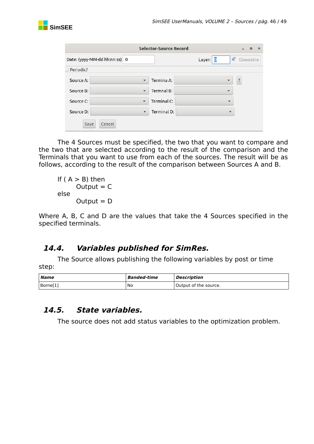

| Selector-Source Record<br>$\Box$<br>$\times$ |                               |                          |             |                    |                          |
|----------------------------------------------|-------------------------------|--------------------------|-------------|--------------------|--------------------------|
|                                              | Date: (yyyy-MM-dd hh:nn:ss) 0 |                          |             | Layer: $\boxed{0}$ | Cloudable                |
| $\Box$ Periodic?                             |                               |                          |             |                    |                          |
| Source A:                                    |                               | $\blacktriangledown$     | Termina A:  |                    | ?                        |
| Source B:                                    |                               | $\blacktriangledown$     | Termnal B:  |                    | $\overline{\phantom{a}}$ |
| Source C:                                    |                               | $\overline{\phantom{a}}$ | Terminal C: |                    | $\overline{\phantom{a}}$ |
| Source D:                                    |                               | $\overline{\phantom{a}}$ | Terminal D: |                    | ▼                        |
| Save                                         | Cancel                        |                          |             |                    |                          |

The 4 Sources must be specified, the two that you want to compare and the two that are selected according to the result of the comparison and the Terminals that you want to use from each of the sources. The result will be as follows, according to the result of the comparison between Sources A and B.

If  $(A > B)$  then  $Output = C$ else  $Output = D$ 

Where A, B, C and D are the values that take the 4 Sources specified in the specified terminals.

#### <span id="page-45-1"></span> **14.4. Variables published for SimRes.**

The Source allows publishing the following variables by post or time step:

| <b>Name</b> | <b>Banded-time</b> | Description           |
|-------------|--------------------|-----------------------|
| Borne[1]    | No                 | Output of the source. |

#### <span id="page-45-0"></span> **14.5. State variables.**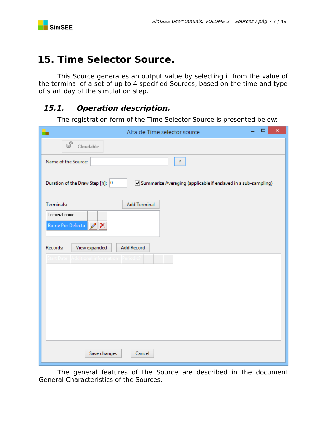

## <span id="page-46-1"></span> **15. Time Selector Source.**

This Source generates an output value by selecting it from the value of the terminal of a set of up to 4 specified Sources, based on the time and type of start day of the simulation step.

#### **15.1. Operation description.**

<span id="page-46-0"></span>The registration form of the Time Selector Source is presented below:

| $\pmb{\times}$<br>▭<br>Alta de Time selector source                                                  |  |  |  |  |
|------------------------------------------------------------------------------------------------------|--|--|--|--|
| $\mathbb{G}$ Cloudable                                                                               |  |  |  |  |
| $\overline{\mathcal{E}}$<br>Name of the Source:                                                      |  |  |  |  |
| Duration of the Draw Step [h]: 0<br>√ Summarize Averaging (applicable if enslaved in a sub-sampling) |  |  |  |  |
| Terminals:<br><b>Add Terminal</b>                                                                    |  |  |  |  |
| Terminal name<br>Borne Por Defecto X                                                                 |  |  |  |  |
| View expanded<br><b>Add Record</b><br>Records:                                                       |  |  |  |  |
|                                                                                                      |  |  |  |  |
|                                                                                                      |  |  |  |  |
|                                                                                                      |  |  |  |  |
|                                                                                                      |  |  |  |  |
|                                                                                                      |  |  |  |  |
|                                                                                                      |  |  |  |  |
|                                                                                                      |  |  |  |  |
| Save changes<br>Cancel                                                                               |  |  |  |  |

The general features of the Source are described in the document General Characteristics of the Sources.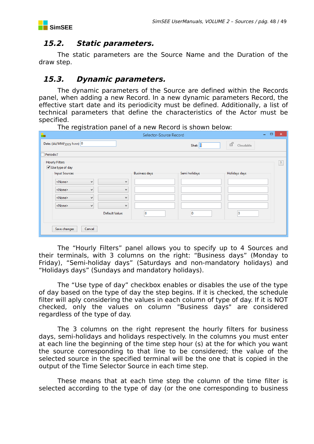

#### <span id="page-47-1"></span> **15.2. Static parameters.**

The static parameters are the Source Name and the Duration of the draw step.

#### <span id="page-47-0"></span> **15.3. Dynamic parameters.**

The dynamic parameters of the Source are defined within the Records panel, when adding a new Record. In a new dynamic parameters Record, the effective start date and its periodicity must be defined. Additionally, a list of technical parameters that define the characteristics of the Actor must be specified.

 $=$   $\Box$   $\times$ Selector-Source Record н. Date: (dd/MM/yyyy h:nn) 0  $\overline{\mathbb{S}}$  Cloudable Shet:  $\boxed{0}$  $\Box$  Periodic? **Hourly Filters**  $\mathbf{?}$ Use type of day Holidays days **Input Sources Business days** Semi holidays  $\checkmark$  $\checkmark$ <None> <None>  $\checkmark$  $\checkmark$  $\checkmark$ <None>  $\checkmark$  $\checkmark$ <None>  $\checkmark$ Default Value: **lo**  $\overline{0}$  $\overline{0}$ Save changes Cancel

The registration panel of a new Record is shown below:

The "Hourly Filters" panel allows you to specify up to 4 Sources and their terminals, with 3 columns on the right: "Business days" (Monday to Friday), "Semi-holiday days" (Saturdays and non-mandatory holidays) and "Holidays days" (Sundays and mandatory holidays).

The "Use type of day" checkbox enables or disables the use of the type of day based on the type of day the step begins. If it is checked, the schedule filter will aply considering the values in each column of type of day. If it is NOT checked, only the values on column "Business days" are considered regardless of the type of day.

The 3 columns on the right represent the hourly filters for business days, semi-holidays and holidays respectively. In the columns you must enter at each line the beginning of the time step hour (s) at the for which you want the source corresponding to that line to be considered; the value of the selected source in the specified terminal will be the one that is copied in the output of the Time Selector Source in each time step.

These means that at each time step the column of the time filter is selected according to the type of day (or the one corresponding to business